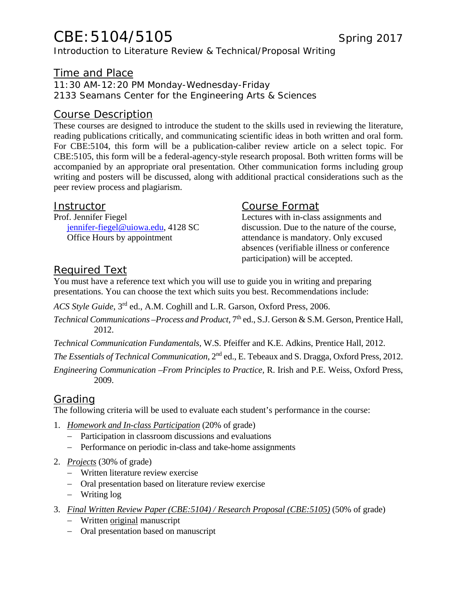# CBE: 5104/5105 Spring 2017

Introduction to Literature Review & Technical/Proposal Writing

### Time and Place

11:30 AM-12:20 PM Monday-Wednesday-Friday

2133 Seamans Center for the Engineering Arts & Sciences

### Course Description

These courses are designed to introduce the student to the skills used in reviewing the literature, reading publications critically, and communicating scientific ideas in both written and oral form. For CBE:5104, this form will be a publication-caliber review article on a select topic. For CBE:5105, this form will be a federal-agency-style research proposal. Both written forms will be accompanied by an appropriate oral presentation. Other communication forms including group writing and posters will be discussed, along with additional practical considerations such as the peer review process and plagiarism.

#### **Instructor**

Prof. Jennifer Fiegel jennifer-fiegel@uiowa.edu, 4128 SC Office Hours by appointment

### Course Format

Lectures with in-class assignments and discussion. Due to the nature of the course, attendance is mandatory. Only excused absences (verifiable illness or conference participation) will be accepted.

## Required Text

You must have a reference text which you will use to guide you in writing and preparing presentations. You can choose the text which suits you best. Recommendations include:

*ACS Style Guide*, 3rd ed., A.M. Coghill and L.R. Garson, Oxford Press, 2006.

*Technical Communications –Process and Product,* 7<sup>th</sup> ed., S.J. Gerson & S.M. Gerson, Prentice Hall, 2012.

*Technical Communication Fundamentals,* W.S. Pfeiffer and K.E. Adkins, Prentice Hall, 2012.

*The Essentials of Technical Communication,* 2nd ed., E. Tebeaux and S. Dragga, Oxford Press, 2012.

*Engineering Communication –From Principles to Practice,* R. Irish and P.E. Weiss, Oxford Press, 2009.

### Grading

The following criteria will be used to evaluate each student's performance in the course:

- 1. *Homework and In-class Participation* (20% of grade)
	- Participation in classroom discussions and evaluations
	- Performance on periodic in-class and take-home assignments
- 2. *Projects* (30% of grade)
	- Written literature review exercise
	- Oral presentation based on literature review exercise
	- Writing log
- 3. *Final Written Review Paper (CBE:5104) / Research Proposal (CBE:5105)* (50% of grade)
	- Written original manuscript
	- Oral presentation based on manuscript